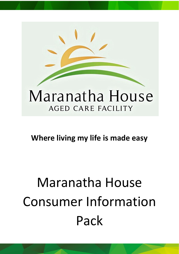

## **Where living my life is made easy**

## Maranatha House Consumer Information Pack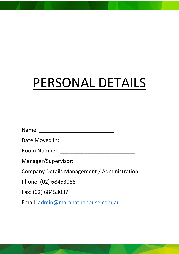## PERSONAL DETAILS

| Name:                                       |
|---------------------------------------------|
| Date Moved in:                              |
| Room Number:                                |
| Manager/Supervisor:                         |
| Company Details Management / Administration |
| Phone: (02) 68453088                        |
| Fax: (02) 68453087                          |

Email: [admin@maranathahouse.com.au](mailto:admin@maranathahouse.com.au)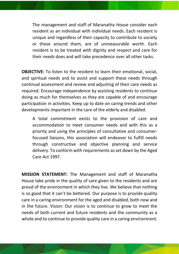The management and staff of Maranatha House consider each resident as an individual with individual needs. Each resident is unique and regardless of their capacity to contribute to society or those around them, are of unmeasurable worth. Each resident is to be treated with dignity and respect and care for their needs does and will take precedence over all other tasks.

**OBJECTIVE:** To listen to the resident to learn their emotional, social, and spiritual needs and to assist and support these needs through continual assessment and review and adjusting of their care needs as required. Encourage independence by assisting residents to continue doing as much for themselves as they are capable of and encourage participation in activities. Keep up to date on caring trends and other developments important in the care of the elderly and disabled.

A total commitment exists to the provision of care and accommodation to meet consumer needs and with this as a priority and using the principles of consultative and consumerfocused liaisons, this association will endeavor to fulfill needs through constructive and objective planning and service delivery. To conform with requirements as set down by the Aged Care Act 1997.

**MISSION STATEMENT:** The Management and staff of Maranatha House take pride in the quality of care given to the residents and are proud of the environment in which they live. We believe that nothing is so good that it can't be bettered. Our purpose is to provide quality care in a caring environment for the aged and disabled, both now and in the future. Vision: Our vision is to continue to grow to meet the needs of both current and future residents and the community as a whole and to continue to provide quality care in a caring environment.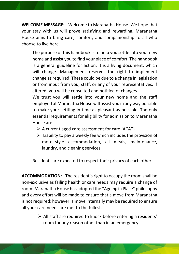**WELCOME MESSAGE:** - Welcome to Maranatha House. We hope that your stay with us will prove satisfying and rewarding. Maranatha House aims to bring care, comfort, and companionship to all who choose to live here.

The purpose of this handbook is to help you settle into your new home and assist you to find your place of comfort. The handbook is a general guideline for action. It is a living document, which will change. Management reserves the right to implement change as required. These could be due to a change in legislation or from input from you, staff, or any of your representatives. If altered, you will be consulted and notified of changes.

We trust you will settle into your new home and the staff employed at Maranatha House will assist you in any way possible to make your settling in time as pleasant as possible. The only essential requirements for eligibility for admission to Maranatha House are:

- $\triangleright$  A current aged care assessment for care (ACAT)
- $\triangleright$  Liability to pay a weekly fee which includes the provision of motel-style accommodation, all meals, maintenance, laundry, and cleaning services.

Residents are expected to respect their privacy of each other.

**ACCOMMODATION:** - The resident's right to occupy the room shall be non-exclusive as failing health or care needs may require a change of room. Maranatha House has adopted the "Ageing in Place" philosophy and every effort will be made to ensure that a move from Maranatha is not required; however, a move internally may be required to ensure all your care needs are met to the fullest.

> ➢ All staff are required to knock before entering a residents' room for any reason other than in an emergency.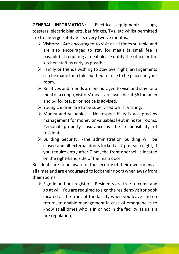**GENERAL INFORMATION:** - Electrical equipment: - Jugs, toasters, electric blankets, bar fridges, TVs, etc whilst permitted are to undergo safety tests every twelve months.

- ➢ Visitors: Are encouraged to visit at all times suitable and are also encouraged to stay for meals (a small fee is payable). If requiring a meal please notify the office or the kitchen staff as early as possible.
- $\triangleright$  Family or friends wishing to stay overnight, arrangements can be made for a fold-out bed for use to be placed in your room.
- $\triangleright$  Relatives and friends are encouraged to visit and stay for a meal or a cuppa, visitors' meals are available at \$6 for lunch and \$4 for tea, prior notice is advised.
- $\triangleright$  Young children are to be supervised whilst visiting.
- $\triangleright$  Money and valuables: No responsibility is accepted by management for money or valuables kept in hostel rooms. Personal property insurance is the responsibility of residents.
- ➢ Building Security: -The administration building will be closed and all external doors locked at 7 pm each night, if you require entry after 7 pm, the front doorbell is located on the right-hand side of the main door.

Residents are to be aware of the security of their own rooms at all times and are encouraged to lock their doors when away from their rooms.

➢ Sign in and out register: - Residents are free to come and go at will. You are required to sign the resident/visitor book located at the front of the facility when you leave and on return, to enable management in case of emergencies to know at all times who is in or not in the facility. (This is a fire regulation).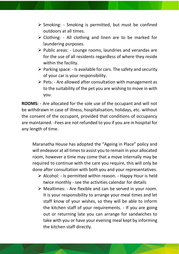- $\triangleright$  Smoking: Smoking is permitted, but must be confined outdoors at all times.
- $\triangleright$  Clothing: All clothing and linen are to be marked for laundering purposes.
- $\triangleright$  Public areas: Lounge rooms, laundries and verandas are for the use of all residents regardless of where they reside within the facility.
- $\triangleright$  Parking space: Is available for cars. The safety and security of your car is your responsibility.
- $\triangleright$  Pets: Are allowed after consultation with management as to the suitability of the pet you are wishing to move in with you.

**ROOMS:** - Are allocated for the sole use of the occupant and will not be withdrawn in case of illness, hospitalisation, holidays, etc. without the consent of the occupant, provided that conditions of occupancy are maintained. -Fees are not refunded to you if you are in hospital for any length of time.

Maranatha House has adopted the "Ageing in Place" policy and will endeavor at all times to assist you to remain in your allocated room, however a time may come that a move internally may be required to continue with the care you require, this will only be done after consultation with both you and your representatives.

- $\triangleright$  Alcohol: Is permitted within reason. Happy Hour is held twice monthly - see the activities calendar for details
- ➢ Mealtimes: Are flexible and can be served in your room. It is your responsibility to arrange your meal times and let staff know of your wishes, so they will be able to inform the kitchen staff of your requirements. - If you are going out or returning late you can arrange for sandwiches to take with you or have your evening meal kept by informing the kitchen staff directly.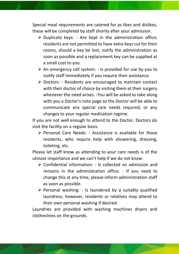Special meal requirements are catered for as likes and dislikes, these will be completed by staff shortly after your admission.

- $\triangleright$  Duplicate keys: Are kept in the administration office; residents are not permitted to have extra keys cut for their rooms, should a key be lost, notify the administration as soon as possible and a replacement key can be supplied at a small cost to you.
- $\triangleright$  An emergency call system: Is provided for use by you to notify staff immediately if you require their assistance.
- ➢ Doctors: Residents are encouraged to maintain contact with their doctor of choice by visiting them at their surgery whenever the need arises. -You will be asked to take along with you a Doctor's note page so the Doctor will be able to communicate any special care needs required, or any changes to your regular medication regime.

If you are not well enough to attend to the Doctor, Doctors do visit the facility on a regular basis.

➢ Personal Care Needs: - Assistance is available for those residents, who require help with showering, dressing, toileting, etc.

Please let staff know as attending to your care needs is of the utmost importance and we can't help if we do not know.

- ➢ Confidential information: Is collected on admission and remains in the administration office. - If you need to change this at any time, please inform administration staff as soon as possible.
- $\triangleright$  Personal washing: Is laundered by a suitably qualified laundress; however, residents or relatives may attend to their own personal washing if desired.

Laundries are provided with washing machines dryers and clotheslines on the grounds.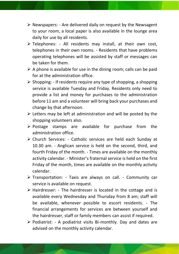- $\triangleright$  Newspapers: Are delivered daily on request by the Newsagent to your room, a local paper is also available in the lounge area daily for use by all residents.
- $\triangleright$  Telephones: All residents may install, at their own cost, telephones in their own rooms. - Residents that have problems operating telephones will be assisted by staff or messages can be taken for them.
- $\triangleright$  A phone is available for use in the dining room; calls can be paid for at the administration office.
- $\triangleright$  Shopping: If residents require any type of shopping, a shopping service is available Tuesday and Friday. Residents only need to provide a list and money for purchases to the administration before 11 am and a volunteer will bring back your purchases and change by that afternoon.
- $\triangleright$  Letters may be left at administration and will be posted by the shopping volunteers also.
- $\triangleright$  Postage stamps are available for purchase from the administration office.
- ➢ Church Services: Catholic services are held each Sunday at 10.30 am. - Anglican service is held on the second, third, and fourth Friday of the month. - Times are available on the monthly activity calendar. - Minister's fraternal service is held on the first Friday of the month, times are available on the monthly activity calendar.
- ➢ Transportation: Taxis are always on call. Community car service is available on request.
- $\triangleright$  Hairdresser: The hairdresser is located in the cottage and is available every Wednesday and Thursday from 8 am; staff will be available, whenever possible to escort residents. - The financial arrangements for services are between yourself and the hairdresser, staff or family members can assist if required.
- ➢ Podiatrist: A podiatrist visits Bi-monthly. Day and dates are advised on the monthly activity calendar.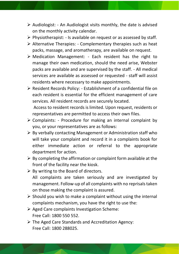- $\triangleright$  Audiologist: An Audiologist visits monthly, the date is advised on the monthly activity calendar.
- $\triangleright$  Physiotherapist: Is available on request or as assessed by staff.
- ➢ Alternative Therapies: Complementary therapies such as heat packs, massage, and aromatherapy, are available on request.
- ➢ Medication Management: Each resident has the right to manage their own medication, should the need arise, Webster packs are available and are supervised by the staff. - All medical services are available as assessed or requested - staff will assist residents where necessary to make appointments.
- ➢ Resident Records Policy: Establishment of a confidential file on each resident is essential for the efficient management of care services. All resident records are securely located.

Access to resident records is limited. Upon request, residents or representatives are permitted to access their own files.

- $\triangleright$  Complaints: Procedure for making an internal complaint by you, or your representatives are as follows:
- $\triangleright$  By verbally contacting Management or Administration staff who will take your complaint and record it in a complaints book for either immediate action or referral to the appropriate department for action.
- $\triangleright$  By completing the affirmation or complaint form available at the front of the facility near the kiosk.
- $\triangleright$  By writing to the Board of directors. All complaints are taken seriously and are investigated by management. Follow-up of all complaints with no reprisals taken on those making the complaint is assured.
- $\triangleright$  Should you wish to make a complaint without using the internal complaints mechanism, you have the right to use the:
- ➢ Aged Care complaints Investigation Scheme: Free Call: 1800 550 552.
- ➢ The Aged Care Standards and Accreditation Agency: Free Call: 1800 288025.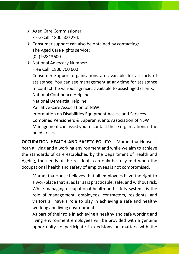- ➢ Aged Care Commissioner: Free Call: 1800 500 294.
- $\triangleright$  Consumer support can also be obtained by contacting: The Aged Care Rights service: (02) 92813600
- ➢ National Advocacy Number:

Free Call: 1800 700 600

Consumer Support organisations are available for all sorts of assistance. You can see management at any time for assistance to contact the various agencies available to assist aged clients. National Continence Helpline.

National Dementia Helpline.

Palliative Care Association of NSW.

Information on Disabilities Equipment Access and Services.

Combined Pensioners & Superannuants Association of NSW Management can assist you to contact these organisations if the need arises.

**OCCUPATION HEALTH AND SAFETY POLICY:** - Maranatha House is both a living and a working environment and while we aim to achieve the standards of care established by the Department of Health and Ageing, the needs of the residents can only be fully met when the occupational health and safety of employees is not compromised.

Maranatha House believes that all employees have the right to a workplace that is, as far as is practicable, safe, and without risk. While managing occupational health and safety systems is the role of management, employees, contractors, residents, and visitors all have a role to play in achieving a safe and healthy working and living environment.

As part of their role in achieving a healthy and safe working and living environment employees will be provided with a genuine opportunity to participate in decisions on matters with the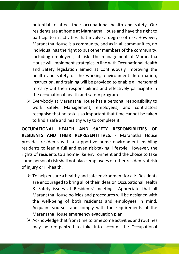potential to affect their occupational health and safety. Our residents are at home at Maranatha House and have the right to participate in activities that involve a degree of risk. However, Maranatha House is a community, and as in all communities, no individual has the right to put other members of the community, including employees, at risk. The management of Maranatha House will implement strategies in line with Occupational Health and Safety legislation aimed at continuously improving the health and safety of the working environment. Information, instruction, and training will be provided to enable all personnel to carry out their responsibilities and effectively participate in the occupational health and safety program.

➢ Everybody at Maranatha House has a personal responsibility to work safely. Management, employees, and contractors recognise that no task is so important that time cannot be taken to find a safe and healthy way to complete it.

**OCCUPATIONAL HEALTH AND SAFETY RESPONSIBLITIES OF RESIDENTS AND THEIR REPRESENTITIVES:** - Maranatha House provides residents with a supportive home environment enabling residents to lead a full and even risk-taking, lifestyle. However, the rights of residents to a home-like environment and the choice to take some personal risk shall not place employees or other residents at risk of injury or ill-health.

- $\triangleright$  To help ensure a healthy and safe environment for all: -Residents are encouraged to bring all of their ideas on Occupational Health & Safety issues at Residents' meetings. Appreciate that all Maranatha House policies and procedures will be designed with the well-being of both residents and employees in mind. Acquaint yourself and comply with the requirements of the Maranatha House emergency evacuation plan.
- $\triangleright$  Acknowledge that from time to time some activities and routines may be reorganized to take into account the Occupational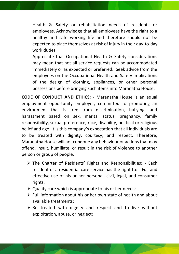Health & Safety or rehabilitation needs of residents or employees. Acknowledge that all employees have the right to a healthy and safe working life and therefore should not be expected to place themselves at risk of injury in their day-to-day work duties.

Appreciate that Occupational Health & Safety considerations may mean that not all service requests can be accommodated immediately or as expected or preferred. Seek advice from the employees on the Occupational Health and Safety implications of the design of clothing, appliances, or other personal possessions before bringing such items into Maranatha House.

**CODE OF CONDUCT AND ETHICS:** - Maranatha House is an equal employment opportunity employer, committed to promoting an environment that is free from discrimination, bullying, and harassment based on sex, marital status, pregnancy, family responsibility, sexual preference, race, disability, political or religious belief and age. It is this company's expectation that all individuals are to be treated with dignity, courtesy, and respect. Therefore, Maranatha House will not condone any behaviour or actions that may offend, insult, humiliate, or result in the risk of violence to another person or group of people.

- ➢ The Charter of Residents' Rights and Responsibilities: Each resident of a residential care service has the right to: - Full and effective use of his or her personal, civil, legal, and consumer rights;
- $\triangleright$  Quality care which is appropriate to his or her needs;
- $\triangleright$  Full information about his or her own state of health and about available treatments;
- $\triangleright$  Be treated with dignity and respect and to live without exploitation, abuse, or neglect;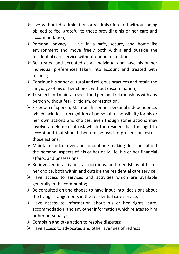- $\triangleright$  Live without discrimination or victimisation and without being obliged to feel grateful to those providing his or her care and accommodation;
- $\triangleright$  Personal privacy; Live in a safe, secure, and home-like environment and move freely both within and outside the residential care service without undue restriction;
- $\triangleright$  Be treated and accepted as an individual and have his or her individual preferences taken into account and treated with respect;
- $\triangleright$  Continue his or her cultural and religious practices and retain the language of his or her choice, without discrimination;
- $\triangleright$  To select and maintain social and personal relationships with any person without fear, criticism, or restriction.
- $\triangleright$  Freedom of speech; Maintain his or her personal independence, which includes a recognition of personal responsibility for his or her own actions and choices, even though some actions may involve an element of risk which the resident has the right to accept and that should then not be used to prevent or restrict those actions;
- ➢ Maintain control over and to continue making decisions about the personal aspects of his or her daily life, his or her financial affairs, and possessions;
- $\triangleright$  Be involved in activities, associations, and friendships of his or her choice, both within and outside the residential care service;
- ➢ Have access to services and activities which are available generally in the community;
- $\triangleright$  Be consulted on and choose to have input into, decisions about the living arrangements in the residential care service;
- $\triangleright$  Have access to information about his or her rights, care, accommodation, and any other information which relates to him or her personally;
- $\triangleright$  Complain and take action to resolve disputes;
- ➢ Have access to advocates and other avenues of redress;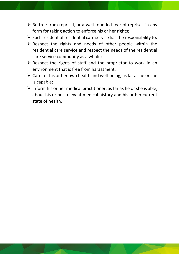- $\triangleright$  Be free from reprisal, or a well-founded fear of reprisal, in any form for taking action to enforce his or her rights;
- $\triangleright$  Each resident of residential care service has the responsibility to:
- $\triangleright$  Respect the rights and needs of other people within the residential care service and respect the needs of the residential care service community as a whole;
- $\triangleright$  Respect the rights of staff and the proprietor to work in an environment that is free from harassment;
- $\triangleright$  Care for his or her own health and well-being, as far as he or she is capable;
- $\triangleright$  Inform his or her medical practitioner, as far as he or she is able, about his or her relevant medical history and his or her current state of health.